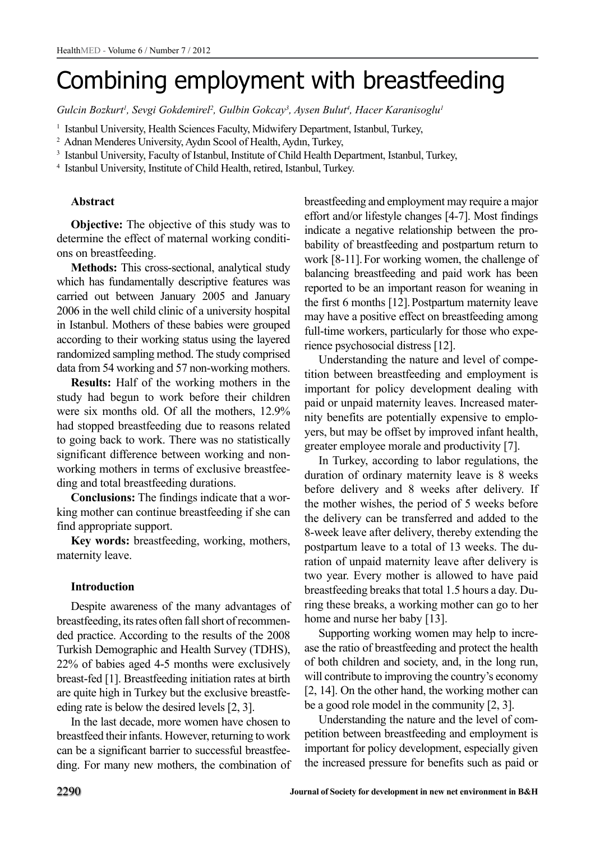# Combining employment with breastfeeding

Gulcin Bozkurt<sup>1</sup>, Sevgi Gokdemirel<sup>2</sup>, Gulbin Gokcay<sup>3</sup>, Aysen Bulut<sup>4</sup>, Hacer Karanisoglu<sup>1</sup>

<sup>1</sup> Istanbul University, Health Sciences Faculty, Midwifery Department, Istanbul, Turkey,

2 Adnan Menderes University, Aydın Scool of Health, Aydın, Turkey,

<sup>3</sup> Istanbul University, Faculty of Istanbul, Institute of Child Health Department, Istanbul, Turkey,

4 Istanbul University, Institute of Child Health, retired, Istanbul, Turkey.

# **Abstract**

**Objective:** The objective of this study was to determine the effect of maternal working conditions on breastfeeding.

**Methods:** This cross-sectional, analytical study which has fundamentally descriptive features was carried out between January 2005 and January 2006 in the well child clinic of a university hospital in Istanbul. Mothers of these babies were grouped according to their working status using the layered randomized sampling method. The study comprised data from 54 working and 57 non-working mothers.

**Results:** Half of the working mothers in the study had begun to work before their children were six months old. Of all the mothers, 12.9% had stopped breastfeeding due to reasons related to going back to work. There was no statistically significant difference between working and nonworking mothers in terms of exclusive breastfeeding and total breastfeeding durations.

**Conclusions:** The findings indicate that a working mother can continue breastfeeding if she can find appropriate support.

**Key words:** breastfeeding, working, mothers, maternity leave.

# **Introduction**

Despite awareness of the many advantages of breastfeeding, its rates often fall short of recommended practice. According to the results of the 2008 Turkish Demographic and Health Survey (TDHS), 22% of babies aged 4-5 months were exclusively breast-fed [1]. Breastfeeding initiation rates at birth are quite high in Turkey but the exclusive breastfeeding rate is below the desired levels [2, 3].

In the last decade, more women have chosen to breastfeed their infants. However, returning to work can be a significant barrier to successful breastfeeding. For many new mothers, the combination of breastfeeding and employment may require a major effort and/or lifestyle changes [4-7]. Most findings indicate a negative relationship between the probability of breastfeeding and postpartum return to work [8-11].For working women, the challenge of balancing breastfeeding and paid work has been reported to be an important reason for weaning in the first 6 months [12].Postpartum maternity leave may have a positive effect on breastfeeding among full-time workers, particularly for those who experience psychosocial distress [12].

Understanding the nature and level of competition between breastfeeding and employment is important for policy development dealing with paid or unpaid maternity leaves. Increased maternity benefits are potentially expensive to employers, but may be offset by improved infant health, greater employee morale and productivity [7].

In Turkey, according to labor regulations, the duration of ordinary maternity leave is 8 weeks before delivery and 8 weeks after delivery. If the mother wishes, the period of 5 weeks before the delivery can be transferred and added to the 8-week leave after delivery, thereby extending the postpartum leave to a total of 13 weeks. The duration of unpaid maternity leave after delivery is two year. Every mother is allowed to have paid breastfeeding breaks that total 1.5 hours a day. During these breaks, a working mother can go to her home and nurse her baby [13].

Supporting working women may help to increase the ratio of breastfeeding and protect the health of both children and society, and, in the long run, will contribute to improving the country's economy [2, 14]. On the other hand, the working mother can be a good role model in the community [2, 3].

Understanding the nature and the level of competition between breastfeeding and employment is important for policy development, especially given the increased pressure for benefits such as paid or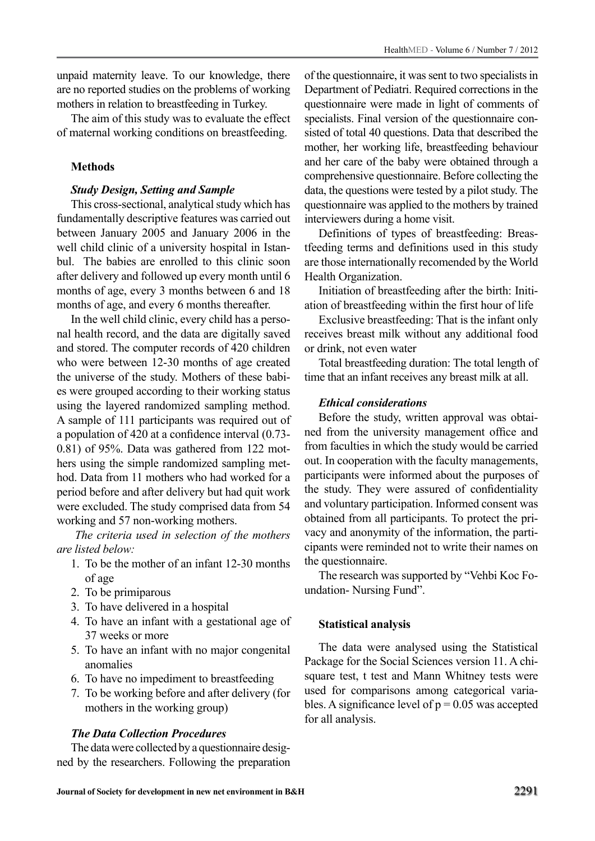unpaid maternity leave. To our knowledge, there are no reported studies on the problems of working mothers in relation to breastfeeding in Turkey.

The aim of this study was to evaluate the effect of maternal working conditions on breastfeeding.

## **Methods**

## *Study Design, Setting and Sample*

This cross-sectional, analytical study which has fundamentally descriptive features was carried out between January 2005 and January 2006 in the well child clinic of a university hospital in Istanbul. The babies are enrolled to this clinic soon after delivery and followed up every month until 6 months of age, every 3 months between 6 and 18 months of age, and every 6 months thereafter.

In the well child clinic, every child has a personal health record, and the data are digitally saved and stored. The computer records of 420 children who were between 12-30 months of age created the universe of the study. Mothers of these babies were grouped according to their working status using the layered randomized sampling method. A sample of 111 participants was required out of a population of 420 at a confidence interval (0.73- 0.81) of 95%. Data was gathered from 122 mothers using the simple randomized sampling method. Data from 11 mothers who had worked for a period before and after delivery but had quit work were excluded. The study comprised data from 54 working and 57 non-working mothers.

 *The criteria used in selection of the mothers are listed below:* 

- 1. To be the mother of an infant 12-30 months of age
- 2. To be primiparous
- 3. To have delivered in a hospital
- 4. To have an infant with a gestational age of 37 weeks or more
- 5. To have an infant with no major congenital anomalies
- 6. To have no impediment to breastfeeding
- 7. To be working before and after delivery (for mothers in the working group)

## *The Data Collection Procedures*

The data were collected by a questionnaire designed by the researchers. Following the preparation of the questionnaire, it was sent to two specialists in Department of Pediatri. Required corrections in the questionnaire were made in light of comments of specialists. Final version of the questionnaire consisted of total 40 questions. Data that described the mother, her working life, breastfeeding behaviour and her care of the baby were obtained through a comprehensive questionnaire. Before collecting the data, the questions were tested by a pilot study. The questionnaire was applied to the mothers by trained interviewers during a home visit.

Definitions of types of breastfeeding: Breastfeeding terms and definitions used in this study are those internationally recomended by the World Health Organization.

Initiation of breastfeeding after the birth: Initiation of breastfeeding within the first hour of life

Exclusive breastfeeding: That is the infant only receives breast milk without any additional food or drink, not even water

Total breastfeeding duration: The total length of time that an infant receives any breast milk at all.

## *Ethical considerations*

Before the study, written approval was obtained from the university management office and from faculties in which the study would be carried out. In cooperation with the faculty managements, participants were informed about the purposes of the study. They were assured of confidentiality and voluntary participation. Informed consent was obtained from all participants. To protect the privacy and anonymity of the information, the participants were reminded not to write their names on the questionnaire.

The research was supported by "Vehbi Koc Foundation- Nursing Fund".

## **Statistical analysis**

The data were analysed using the Statistical Package for the Social Sciences version 11. A chisquare test, t test and Mann Whitney tests were used for comparisons among categorical variables. A significance level of  $p = 0.05$  was accepted for all analysis.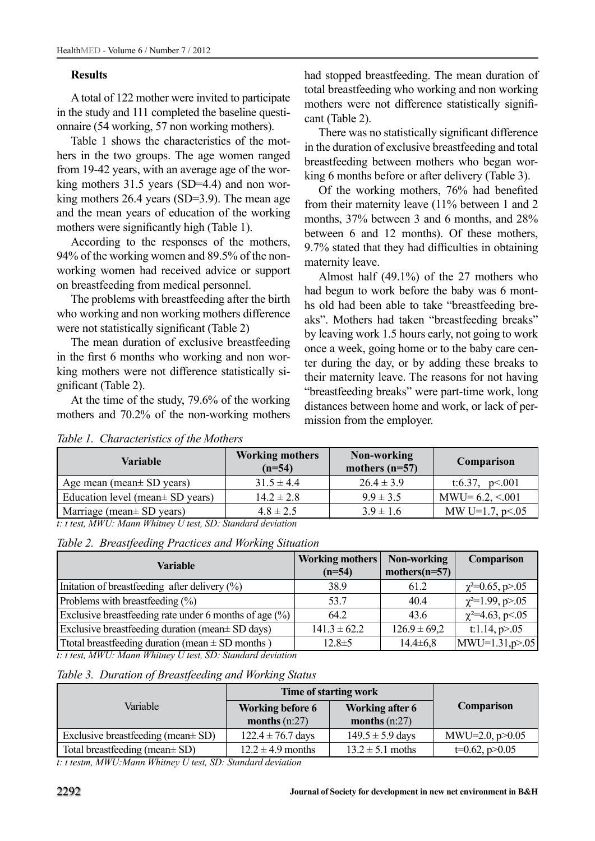## **Results**

A total of 122 mother were invited to participate in the study and 111 completed the baseline questionnaire (54 working, 57 non working mothers).

Table 1 shows the characteristics of the mothers in the two groups. The age women ranged from 19-42 years, with an average age of the working mothers 31.5 years (SD=4.4) and non working mothers 26.4 years (SD=3.9). The mean age and the mean years of education of the working mothers were significantly high (Table 1).

According to the responses of the mothers, 94% of the working women and 89.5% of the nonworking women had received advice or support on breastfeeding from medical personnel.

The problems with breastfeeding after the birth who working and non working mothers difference were not statistically significant (Table 2)

The mean duration of exclusive breastfeeding in the first 6 months who working and non working mothers were not difference statistically significant (Table 2).

At the time of the study, 79.6% of the working mothers and 70.2% of the non-working mothers had stopped breastfeeding. The mean duration of total breastfeeding who working and non working mothers were not difference statistically significant (Table 2).

There was no statistically significant difference in the duration of exclusive breastfeeding and total breastfeeding between mothers who began working 6 months before or after delivery (Table 3).

Of the working mothers, 76% had benefited from their maternity leave (11% between 1 and 2 months, 37% between 3 and 6 months, and 28% between 6 and 12 months). Of these mothers, 9.7% stated that they had difficulties in obtaining maternity leave.

Almost half (49.1%) of the 27 mothers who had begun to work before the baby was 6 months old had been able to take "breastfeeding breaks". Mothers had taken "breastfeeding breaks" by leaving work 1.5 hours early, not going to work once a week, going home or to the baby care center during the day, or by adding these breaks to their maternity leave. The reasons for not having "breastfeeding breaks" were part-time work, long distances between home and work, or lack of permission from the employer.

| Variable                                                                                                      | <b>Working mothers</b><br>$(n=54)$ | Non-working<br>mothers $(n=57)$ | Comparison         |
|---------------------------------------------------------------------------------------------------------------|------------------------------------|---------------------------------|--------------------|
| Age mean (mean $SD$ years)                                                                                    | $31.5 \pm 4.4$                     | $26.4 \pm 3.9$                  | t:6.37, $p<.001$   |
| Education level (mean $\pm$ SD years)                                                                         | $14.2 \pm 2.8$                     | $9.9 \pm 3.5$                   | $MWU=6.2, < 001$   |
| Marriage (mean $\pm$ SD years)<br>$TTH \cdot T$ , $TT \cdot T$ , $CD \cdot T$ ,<br>$\cdots$ $\cdots$ $\cdots$ | $4.8 \pm 2.5$                      | $3.9 \pm 1.6$                   | MW U=1.7, $p<0.05$ |

*Table 1. Characteristics of the Mothers* 

*t: t test, MWU: Mann Whitney U test, SD: Standard deviation*

| Table 2. Breastfeeding Practices and Working Situation |  |  |  |  |  |
|--------------------------------------------------------|--|--|--|--|--|
|--------------------------------------------------------|--|--|--|--|--|

| Variable                                                                  | <b>Working mothers</b><br>$(n=54)$ | Non-working<br>mothers $(n=57)$ | Comparison              |
|---------------------------------------------------------------------------|------------------------------------|---------------------------------|-------------------------|
| Initiation of breastfeeding after delivery $(\% )$                        | 38.9                               | 61.2                            | $\chi^2 = 0.65$ , p>.05 |
| Problems with breastfeeding $(\% )$                                       | 53.7                               | 40.4                            | $\chi^2 = 1.99$ , p>.05 |
| Exclusive breastfeeding rate under 6 months of age $(\% )$                | 64.2                               | 43.6                            | $\chi^2 = 4.63$ , p<.05 |
| Exclusive breastfeeding duration (mean $\pm$ SD days)                     | $141.3 \pm 62.2$                   | $126.9 \pm 69.2$                | t:1.14, $p > 0.05$      |
| Total breastfeeding duration (mean $\pm$ SD months)                       | $12.8 \pm 5$                       | $14.4\pm 6.8$                   | $MWU=1.31,p>05$         |
| $\overline{t}$ : t test, MWU: Mann Whitney U test, SD: Standard deviation |                                    |                                 |                         |

*Table 3. Duration of Breastfeeding and Working Status* 

|                                         | Time of starting work   |                        |                     |  |
|-----------------------------------------|-------------------------|------------------------|---------------------|--|
| Variable                                | <b>Working before 6</b> | <b>Working after 6</b> | <b>Comparison</b>   |  |
|                                         | months $(n:27)$         | months $(n:27)$        |                     |  |
| Exclusive breastfeeding (mean $\pm$ SD) | $122.4 \pm 76.7$ days   | $149.5 \pm 5.9$ days   | MWU=2.0, $p > 0.05$ |  |
| Total breastfeeding (mean ± SD)         | $12.2 \pm 4.9$ months   | $13.2 \pm 5.1$ moths   | $t=0.62$ , $p>0.05$ |  |

*t: t testm, MWU:Mann Whitney U test, SD: Standard deviation*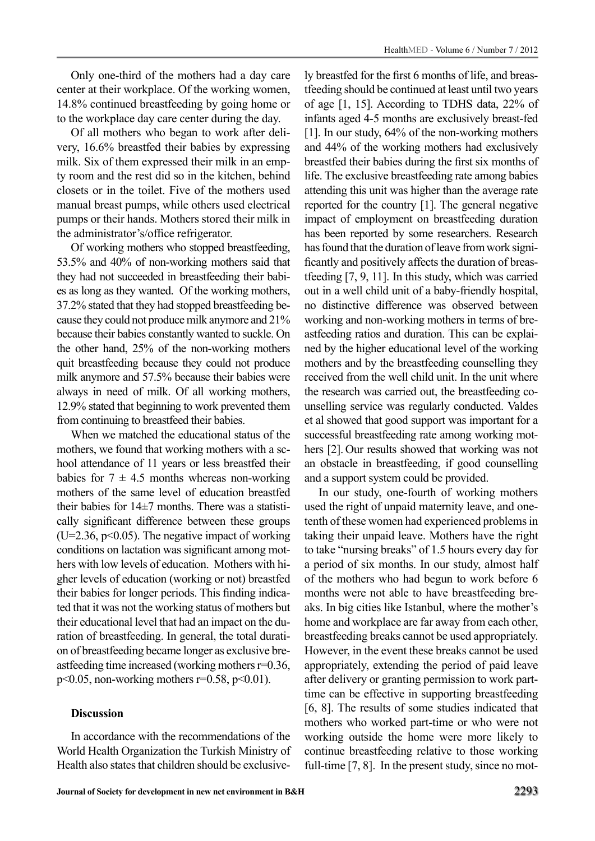Only one-third of the mothers had a day care center at their workplace. Of the working women, 14.8% continued breastfeeding by going home or to the workplace day care center during the day.

Of all mothers who began to work after delivery, 16.6% breastfed their babies by expressing milk. Six of them expressed their milk in an empty room and the rest did so in the kitchen, behind closets or in the toilet. Five of the mothers used manual breast pumps, while others used electrical pumps or their hands. Mothers stored their milk in the administrator's/office refrigerator.

Of working mothers who stopped breastfeeding, 53.5% and 40% of non-working mothers said that they had not succeeded in breastfeeding their babies as long as they wanted. Of the working mothers, 37.2% stated that they had stopped breastfeeding because they could not produce milk anymore and 21% because their babies constantly wanted to suckle. On the other hand, 25% of the non-working mothers quit breastfeeding because they could not produce milk anymore and 57.5% because their babies were always in need of milk. Of all working mothers, 12.9% stated that beginning to work prevented them from continuing to breastfeed their babies.

When we matched the educational status of the mothers, we found that working mothers with a school attendance of 11 years or less breastfed their babies for  $7 \pm 4.5$  months whereas non-working mothers of the same level of education breastfed their babies for 14±7 months. There was a statistically significant difference between these groups  $(U=2.36, p<0.05)$ . The negative impact of working conditions on lactation was significant among mothers with low levels of education. Mothers with higher levels of education (working or not) breastfed their babies for longer periods. This finding indicated that it was not the working status of mothers but their educational level that had an impact on the duration of breastfeeding. In general, the total duration of breastfeeding became longer as exclusive breastfeeding time increased (working mothers r=0.36,  $p$  < 0.05, non-working mothers r=0.58, p < 0.01).

#### **Discussion**

In accordance with the recommendations of the World Health Organization the Turkish Ministry of Health also states that children should be exclusive-

ly breastfed for the first 6 months of life, and breastfeeding should be continued at least until two years of age [1, 15]. According to TDHS data, 22% of infants aged 4-5 months are exclusively breast-fed [1]. In our study, 64% of the non-working mothers and 44% of the working mothers had exclusively breastfed their babies during the first six months of life. The exclusive breastfeeding rate among babies attending this unit was higher than the average rate reported for the country [1]. The general negative impact of employment on breastfeeding duration has been reported by some researchers. Research has found that the duration of leave from work significantly and positively affects the duration of breastfeeding [7, 9, 11]. In this study, which was carried out in a well child unit of a baby-friendly hospital, no distinctive difference was observed between working and non-working mothers in terms of breastfeeding ratios and duration. This can be explained by the higher educational level of the working mothers and by the breastfeeding counselling they received from the well child unit. In the unit where the research was carried out, the breastfeeding counselling service was regularly conducted. Valdes et al showed that good support was important for a successful breastfeeding rate among working mothers [2]. Our results showed that working was not an obstacle in breastfeeding, if good counselling and a support system could be provided.

In our study, one-fourth of working mothers used the right of unpaid maternity leave, and onetenth of these women had experienced problems in taking their unpaid leave. Mothers have the right to take "nursing breaks" of 1.5 hours every day for a period of six months. In our study, almost half of the mothers who had begun to work before 6 months were not able to have breastfeeding breaks. In big cities like Istanbul, where the mother's home and workplace are far away from each other, breastfeeding breaks cannot be used appropriately. However, in the event these breaks cannot be used appropriately, extending the period of paid leave after delivery or granting permission to work parttime can be effective in supporting breastfeeding [6, 8]. The results of some studies indicated that mothers who worked part-time or who were not working outside the home were more likely to continue breastfeeding relative to those working full-time [7, 8]. In the present study, since no mot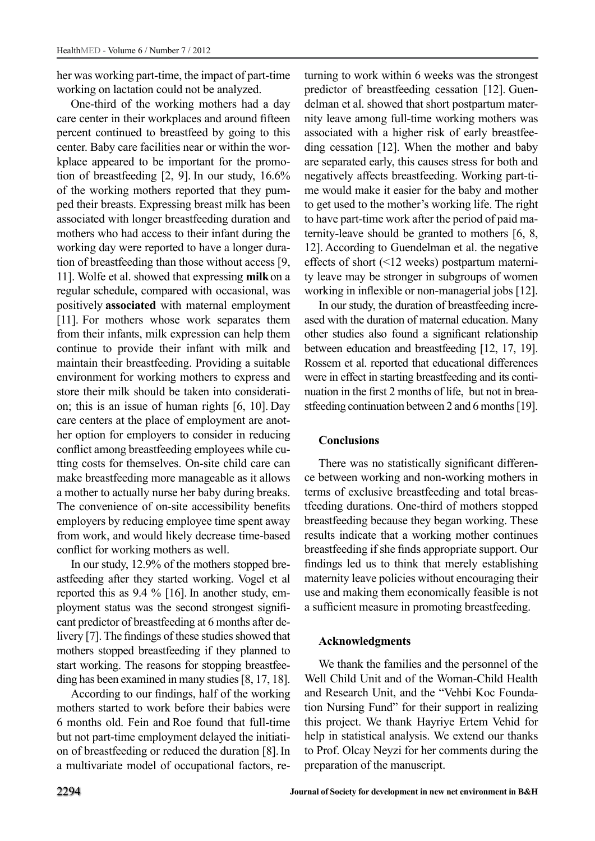her was working part-time, the impact of part-time working on lactation could not be analyzed.

One-third of the working mothers had a day care center in their workplaces and around fifteen percent continued to breastfeed by going to this center. Baby care facilities near or within the workplace appeared to be important for the promotion of breastfeeding [2, 9]. In our study, 16.6% of the working mothers reported that they pumped their breasts. Expressing breast milk has been associated with longer breastfeeding duration and mothers who had access to their infant during the working day were reported to have a longer duration of breastfeeding than those without access [9, 11]. Wolfe et al. showed that expressing **milk**on a regular schedule, compared with occasional, was positively **associated** with maternal employment [11]. For mothers whose work separates them from their infants, milk expression can help them continue to provide their infant with milk and maintain their breastfeeding. Providing a suitable environment for working mothers to express and store their milk should be taken into consideration; this is an issue of human rights [6, 10]. Day care centers at the place of employment are another option for employers to consider in reducing conflict among breastfeeding employees while cutting costs for themselves. On-site child care can make breastfeeding more manageable as it allows a mother to actually nurse her baby during breaks. The convenience of on-site accessibility benefits employers by reducing employee time spent away from work, and would likely decrease time-based conflict for working mothers as well.

In our study, 12.9% of the mothers stopped breastfeeding after they started working. Vogel et al reported this as 9.4 % [16]. In another study, employment status was the second strongest significant predictor of breastfeeding at 6 months after delivery [7]. The findings of these studies showed that mothers stopped breastfeeding if they planned to start working. The reasons for stopping breastfeeding has been examined in many studies [8, 17, 18].

According to our findings, half of the working mothers started to work before their babies were 6 months old. Fein and Roe found that full-time but not part-time employment delayed the initiation of breastfeeding or reduced the duration [8].In a multivariate model of occupational factors, returning to work within 6 weeks was the strongest predictor of breastfeeding cessation [12]. Guendelman et al. showed that short postpartum maternity leave among full-time working mothers was associated with a higher risk of early breastfeeding cessation [12]. When the mother and baby are separated early, this causes stress for both and negatively affects breastfeeding. Working part-time would make it easier for the baby and mother to get used to the mother's working life. The right to have part-time work after the period of paid maternity-leave should be granted to mothers [6, 8, 12]. According to Guendelman et al. the negative effects of short (<12 weeks) postpartum maternity leave may be stronger in subgroups of women working in inflexible or non-managerial jobs [12].

In our study, the duration of breastfeeding increased with the duration of maternal education. Many other studies also found a significant relationship between education and breastfeeding [12, 17, 19]. Rossem et al. reported that educational differences were in effect in starting breastfeeding and its continuation in the first 2 months of life, but not in breastfeeding continuation between 2 and 6 months [19].

## **Conclusions**

There was no statistically significant difference between working and non-working mothers in terms of exclusive breastfeeding and total breastfeeding durations. One-third of mothers stopped breastfeeding because they began working. These results indicate that a working mother continues breastfeeding if she finds appropriate support. Our findings led us to think that merely establishing maternity leave policies without encouraging their use and making them economically feasible is not a sufficient measure in promoting breastfeeding.

#### **Acknowledgments**

We thank the families and the personnel of the Well Child Unit and of the Woman-Child Health and Research Unit, and the "Vehbi Koc Foundation Nursing Fund" for their support in realizing this project. We thank Hayriye Ertem Vehid for help in statistical analysis. We extend our thanks to Prof. Olcay Neyzi for her comments during the preparation of the manuscript.